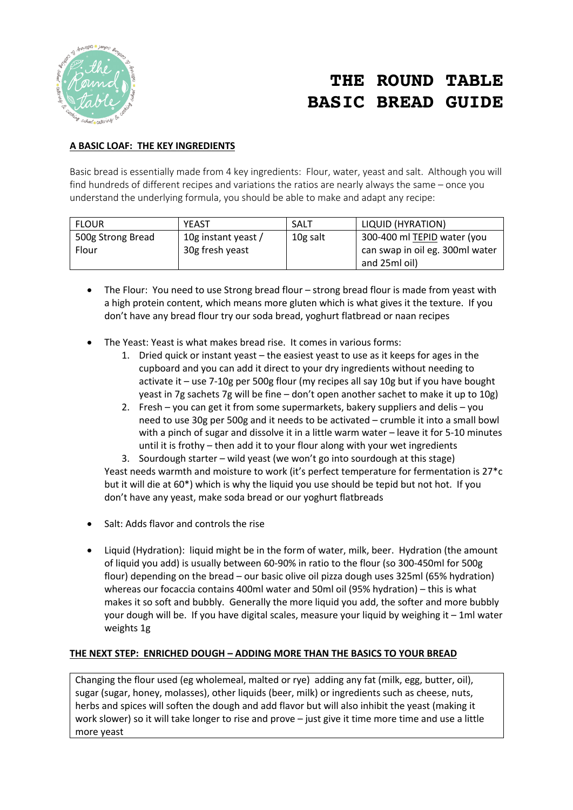

# **THE ROUND TABLE BASIC BREAD GUIDE**

#### **A BASIC LOAF: THE KEY INGREDIENTS**

Basic bread is essentially made from 4 key ingredients: Flour, water, yeast and salt. Although you will find hundreds of different recipes and variations the ratios are nearly always the same – once you understand the underlying formula, you should be able to make and adapt any recipe:

| <b>FLOUR</b>      | <b>YEAST</b>        | SALT     | LIQUID (HYRATION)               |
|-------------------|---------------------|----------|---------------------------------|
| 500g Strong Bread | 10g instant yeast / | 10g salt | 300-400 ml TEPID water (you     |
| Flour             | 30g fresh yeast     |          | can swap in oil eg. 300ml water |
|                   |                     |          | and 25ml oil)                   |

- The Flour: You need to use Strong bread flour strong bread flour is made from yeast with a high protein content, which means more gluten which is what gives it the texture. If you don't have any bread flour try our soda bread, yoghurt flatbread or naan recipes
- The Yeast: Yeast is what makes bread rise. It comes in various forms:
	- 1. Dried quick or instant yeast the easiest yeast to use as it keeps for ages in the cupboard and you can add it direct to your dry ingredients without needing to activate it – use 7-10g per 500g flour (my recipes all say 10g but if you have bought yeast in 7g sachets 7g will be fine – don't open another sachet to make it up to 10g)
	- 2. Fresh you can get it from some supermarkets, bakery suppliers and delis you need to use 30g per 500g and it needs to be activated – crumble it into a small bowl with a pinch of sugar and dissolve it in a little warm water – leave it for 5-10 minutes until it is frothy – then add it to your flour along with your wet ingredients

3. Sourdough starter – wild yeast (we won't go into sourdough at this stage) Yeast needs warmth and moisture to work (it's perfect temperature for fermentation is 27\*c but it will die at 60\*) which is why the liquid you use should be tepid but not hot. If you don't have any yeast, make soda bread or our yoghurt flatbreads

- Salt: Adds flavor and controls the rise
- Liquid (Hydration): liquid might be in the form of water, milk, beer. Hydration (the amount of liquid you add) is usually between 60-90% in ratio to the flour (so 300-450ml for 500g flour) depending on the bread – our basic olive oil pizza dough uses 325ml (65% hydration) whereas our focaccia contains 400ml water and 50ml oil (95% hydration) – this is what makes it so soft and bubbly. Generally the more liquid you add, the softer and more bubbly your dough will be. If you have digital scales, measure your liquid by weighing it – 1ml water weights 1g

#### **THE NEXT STEP: ENRICHED DOUGH – ADDING MORE THAN THE BASICS TO YOUR BREAD**

Changing the flour used (eg wholemeal, malted or rye) adding any fat (milk, egg, butter, oil), sugar (sugar, honey, molasses), other liquids (beer, milk) or ingredients such as cheese, nuts, herbs and spices will soften the dough and add flavor but will also inhibit the yeast (making it work slower) so it will take longer to rise and prove – just give it time more time and use a little more yeast